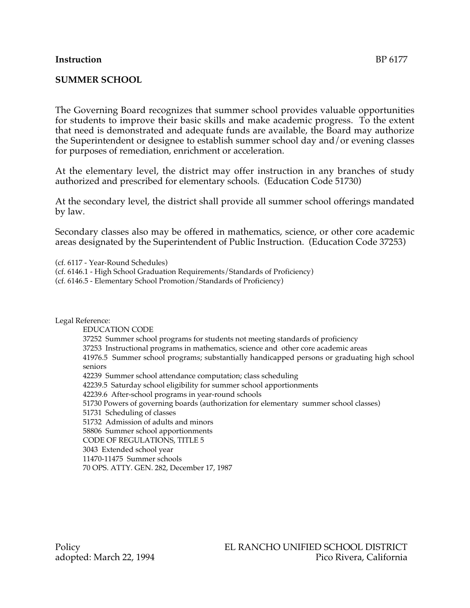# **Instruction** BP 6177

#### **SUMMER SCHOOL**

The Governing Board recognizes that summer school provides valuable opportunities for students to improve their basic skills and make academic progress. To the extent that need is demonstrated and adequate funds are available, the Board may authorize the Superintendent or designee to establish summer school day and/or evening classes for purposes of remediation, enrichment or acceleration.

At the elementary level, the district may offer instruction in any branches of study authorized and prescribed for elementary schools. (Education Code 51730)

At the secondary level, the district shall provide all summer school offerings mandated by law.

Secondary classes also may be offered in mathematics, science, or other core academic areas designated by the Superintendent of Public Instruction. (Education Code 37253)

(cf. 6117 - Year-Round Schedules)

(cf. 6146.1 - High School Graduation Requirements/Standards of Proficiency)

(cf. 6146.5 - Elementary School Promotion/Standards of Proficiency)

Legal Reference:

EDUCATION CODE 37252 Summer school programs for students not meeting standards of proficiency 37253 Instructional programs in mathematics, science and other core academic areas 41976.5 Summer school programs; substantially handicapped persons or graduating high school seniors 42239 Summer school attendance computation; class scheduling 42239.5 Saturday school eligibility for summer school apportionments 42239.6 After-school programs in year-round schools 51730 Powers of governing boards (authorization for elementary summer school classes) 51731 Scheduling of classes 51732 Admission of adults and minors 58806 Summer school apportionments CODE OF REGULATIONS, TITLE 5 3043 Extended school year 11470-11475 Summer schools 70 OPS. ATTY. GEN. 282, December 17, 1987